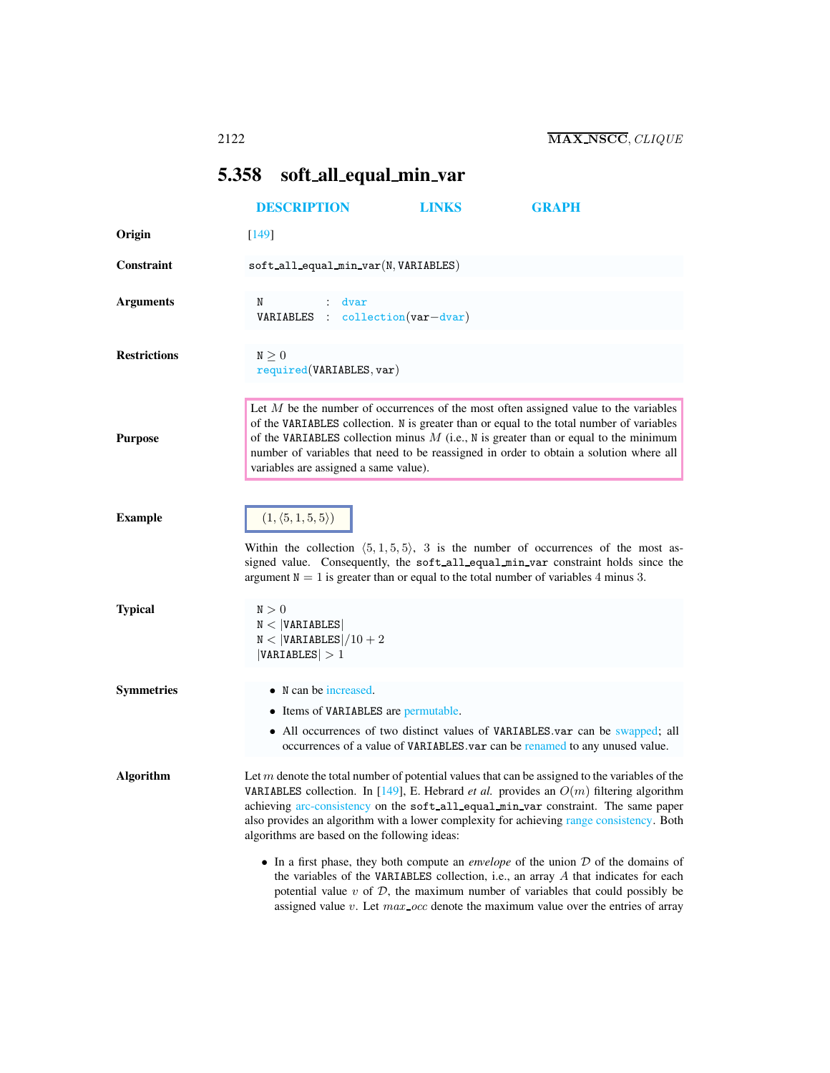## <span id="page-0-0"></span>5.358 soft all equal min var

|                     | <b>DESCRIPTION</b>                                                                                                                                                                                                                                                                                                                                                                                                                    | <b>LINKS</b> | <b>GRAPH</b>                                                                                                                                                                                                                                                                                                                                                           |  |
|---------------------|---------------------------------------------------------------------------------------------------------------------------------------------------------------------------------------------------------------------------------------------------------------------------------------------------------------------------------------------------------------------------------------------------------------------------------------|--------------|------------------------------------------------------------------------------------------------------------------------------------------------------------------------------------------------------------------------------------------------------------------------------------------------------------------------------------------------------------------------|--|
| Origin              | $[149]$                                                                                                                                                                                                                                                                                                                                                                                                                               |              |                                                                                                                                                                                                                                                                                                                                                                        |  |
| Constraint          | $\texttt{soft}_\texttt{all}_\texttt{equal\_min\_var}(N, \texttt{VARIABLES})$                                                                                                                                                                                                                                                                                                                                                          |              |                                                                                                                                                                                                                                                                                                                                                                        |  |
| <b>Arguments</b>    | N<br>$:$ dvar<br>$VARIABLES : collection(var-dvar)$                                                                                                                                                                                                                                                                                                                                                                                   |              |                                                                                                                                                                                                                                                                                                                                                                        |  |
| <b>Restrictions</b> | $N \geq 0$<br>required(VARIABLES, var)                                                                                                                                                                                                                                                                                                                                                                                                |              |                                                                                                                                                                                                                                                                                                                                                                        |  |
| <b>Purpose</b>      | variables are assigned a same value).                                                                                                                                                                                                                                                                                                                                                                                                 |              | Let $M$ be the number of occurrences of the most often assigned value to the variables<br>of the VARIABLES collection. N is greater than or equal to the total number of variables<br>of the VARIABLES collection minus $M$ (i.e., N is greater than or equal to the minimum<br>number of variables that need to be reassigned in order to obtain a solution where all |  |
| <b>Example</b>      | $(1, \langle 5, 1, 5, 5 \rangle)$<br>Within the collection $(5, 1, 5, 5)$ , 3 is the number of occurrences of the most as-<br>signed value. Consequently, the soft all equal min var constraint holds since the<br>argument $N = 1$ is greater than or equal to the total number of variables 4 minus 3.                                                                                                                              |              |                                                                                                                                                                                                                                                                                                                                                                        |  |
| <b>Typical</b>      | $\texttt{N}>0$<br>N <  VARIABLES <br>$N <  VARTABLES /10 + 2$<br> VARIABLES  > 1                                                                                                                                                                                                                                                                                                                                                      |              |                                                                                                                                                                                                                                                                                                                                                                        |  |
| <b>Symmetries</b>   | • N can be increased.<br>• Items of VARIABLES are permutable.                                                                                                                                                                                                                                                                                                                                                                         |              | • All occurrences of two distinct values of VARIABLES var can be swapped; all<br>occurrences of a value of VARIABLES.var can be renamed to any unused value.                                                                                                                                                                                                           |  |
| <b>Algorithm</b>    | Let $m$ denote the total number of potential values that can be assigned to the variables of the<br>VARIABLES collection. In [149], E. Hebrard <i>et al.</i> provides an $O(m)$ filtering algorithm<br>achieving arc-consistency on the soft_all_equal_min_var constraint. The same paper<br>also provides an algorithm with a lower complexity for achieving range consistency. Both<br>algorithms are based on the following ideas: |              |                                                                                                                                                                                                                                                                                                                                                                        |  |
|                     |                                                                                                                                                                                                                                                                                                                                                                                                                                       |              | • In a first phase, they both compute an <i>envelope</i> of the union $D$ of the domains of<br>the variables of the VARIABLES collection, i.e., an array $A$ that indicates for each<br>potential value $v$ of $D$ , the maximum number of variables that could possibly be<br>assigned value $v$ . Let $max\_occ$ denote the maximum value over the entries of array  |  |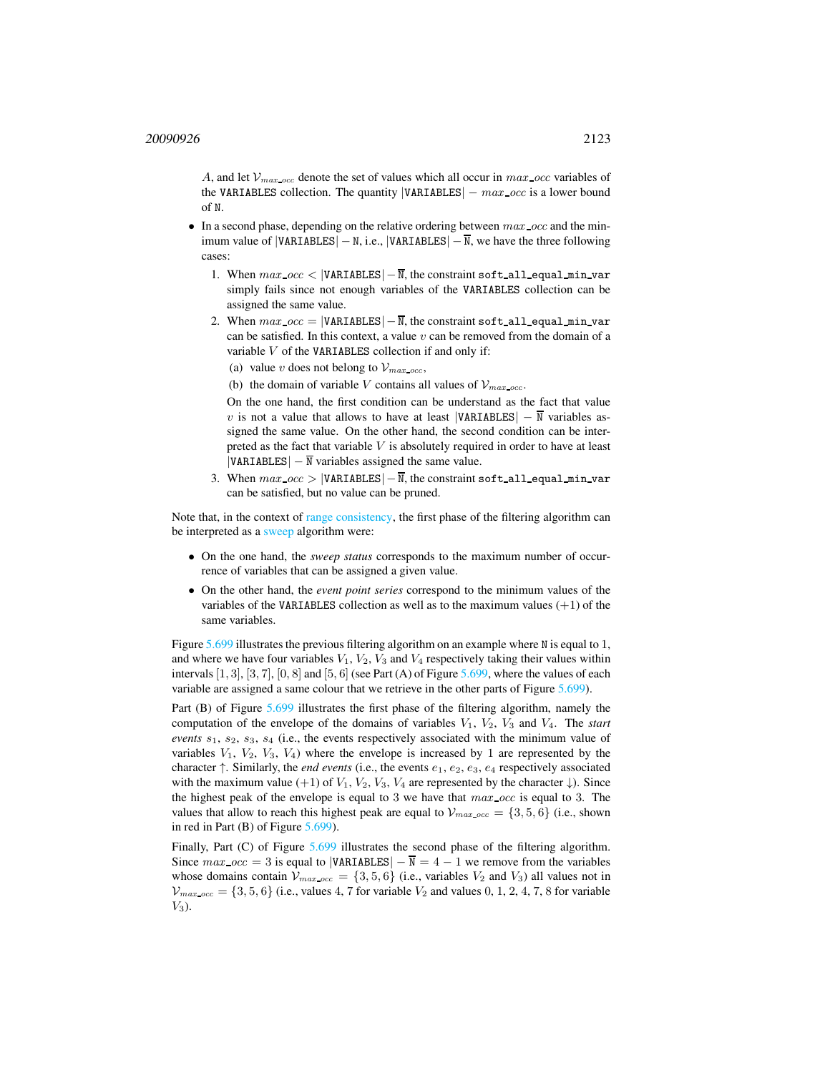A, and let  $\mathcal{V}_{max\;occ}$  denote the set of values which all occur in max occ variables of the VARIABLES collection. The quantity  $|VARTABLES| - max\_occ$  is a lower bound of N.

- In a second phase, depending on the relative ordering between  $max\_occ$  and the minimum value of  $|VARTABLES| - N$ , i.e.,  $|VARTABLES| - \overline{N}$ , we have the three following cases:
	- 1. When  $max\_occ$  < |VARIABLES|  $-\overline{N}$ , the constraint soft\_all\_equal\_min\_var simply fails since not enough variables of the VARIABLES collection can be assigned the same value.
	- 2. When  $max\_occ = |VARTABLES| \overline{N}$ , the constraint soft all equal min var can be satisfied. In this context, a value  $v$  can be removed from the domain of a variable  $V$  of the VARIABLES collection if and only if:
		- (a) value v does not belong to  $\mathcal{V}_{max-occ}$ ,
		- (b) the domain of variable V contains all values of  $\mathcal{V}_{max.occ.}$

On the one hand, the first condition can be understand as the fact that value v is not a value that allows to have at least  $|VARTABLES| - \overline{N}$  variables assigned the same value. On the other hand, the second condition can be interpreted as the fact that variable  $V$  is absolutely required in order to have at least  $|VARIABLES| - \overline{N}$  variables assigned the same value.

3. When  $max\_occ$  > |VARIABLES|  $-\overline{N}$ , the constraint soft all equal min var can be satisfied, but no value can be pruned.

Note that, in the context of range consistency, the first phase of the filtering algorithm can be interpreted as a sweep algorithm were:

- On the one hand, the *sweep status* corresponds to the maximum number of occurrence of variables that can be assigned a given value.
- On the other hand, the *event point series* correspond to the minimum values of the variables of the VARIABLES collection as well as to the maximum values  $(+1)$  of the same variables.

Figure [5.699](#page-2-0) illustrates the previous filtering algorithm on an example where N is equal to 1, and where we have four variables  $V_1$ ,  $V_2$ ,  $V_3$  and  $V_4$  respectively taking their values within intervals  $[1, 3]$ ,  $[3, 7]$ ,  $[0, 8]$  and  $[5, 6]$  (see Part (A) of Figure [5.699,](#page-2-0) where the values of each variable are assigned a same colour that we retrieve in the other parts of Figure [5.699\)](#page-2-0).

Part (B) of Figure [5.699](#page-2-0) illustrates the first phase of the filtering algorithm, namely the computation of the envelope of the domains of variables  $V_1$ ,  $V_2$ ,  $V_3$  and  $V_4$ . The *start events*  $s_1$ ,  $s_2$ ,  $s_3$ ,  $s_4$  (i.e., the events respectively associated with the minimum value of variables  $V_1$ ,  $V_2$ ,  $V_3$ ,  $V_4$ ) where the envelope is increased by 1 are represented by the character  $\uparrow$ . Similarly, the *end events* (i.e., the events  $e_1, e_2, e_3, e_4$  respectively associated with the maximum value (+1) of  $V_1$ ,  $V_2$ ,  $V_3$ ,  $V_4$  are represented by the character  $\downarrow$ ). Since the highest peak of the envelope is equal to 3 we have that  $max\_occ$  is equal to 3. The values that allow to reach this highest peak are equal to  $\mathcal{V}_{max,occ} = \{3, 5, 6\}$  (i.e., shown in red in Part (B) of Figure [5.699\)](#page-2-0).

Finally, Part (C) of Figure [5.699](#page-2-0) illustrates the second phase of the filtering algorithm. Since  $max\_{occ} = 3$  is equal to |VARIABLES|  $-\overline{N} = 4 - 1$  we remove from the variables whose domains contain  $V_{max,occ} = \{3, 5, 6\}$  (i.e., variables  $V_2$  and  $V_3$ ) all values not in  $\mathcal{V}_{max\_{occ}} = \{3, 5, 6\}$  (i.e., values 4, 7 for variable  $V_2$  and values 0, 1, 2, 4, 7, 8 for variable  $V_3$ ).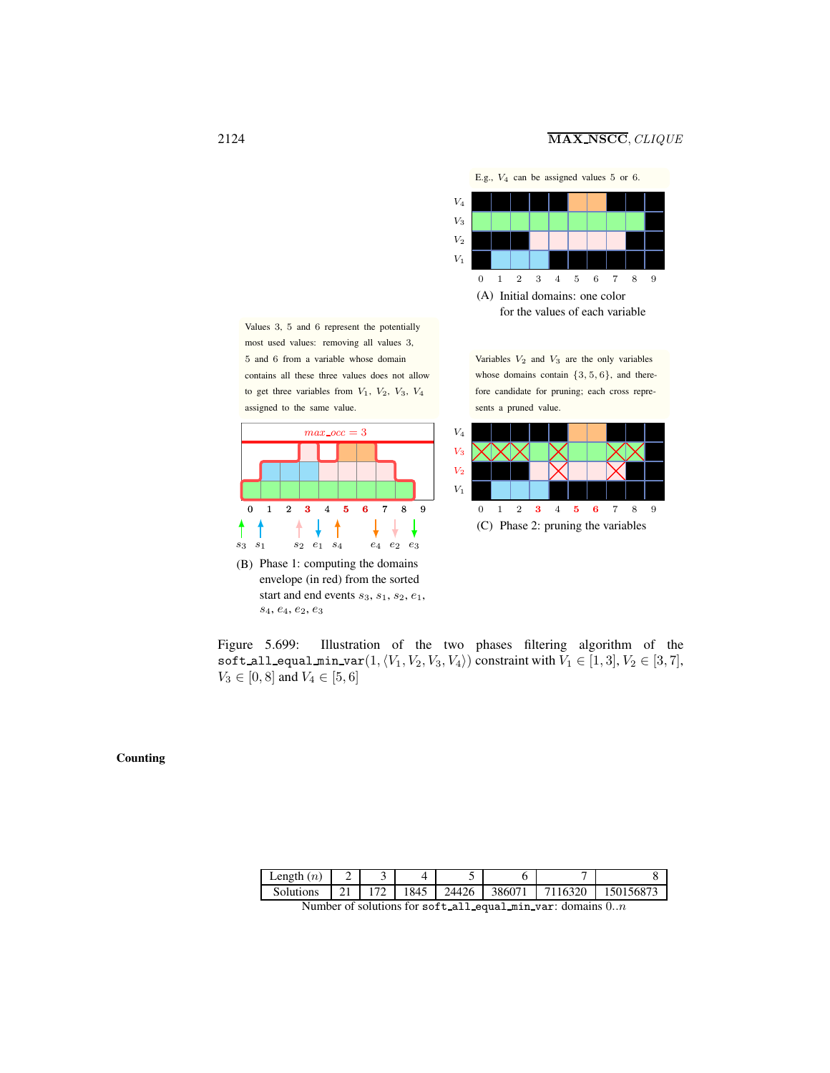

<sup>(</sup>A) Initial domains: one color for the values of each variable

Values 3, 5 and 6 represent the potentially most used values: removing all values 3, 5 and 6 from a variable whose domain contains all these three values does not allow to get three variables from  $V_1$ ,  $V_2$ ,  $V_3$ ,  $V_4$ assigned to the same value.



(B) Phase 1: computing the domains envelope (in red) from the sorted start and end events  $s_3$ ,  $s_1$ ,  $s_2$ ,  $e_1$ ,  $s_4, \, e_4, \, e_2, \, e_3$ 

Variables  $V_2$  and  $V_3$  are the only variables whose domains contain  $\{3, 5, 6\}$ , and therefore candidate for pruning; each cross represents a pruned value.



<span id="page-2-0"></span>Figure 5.699: Illustration of the two phases filtering algorithm of the soft all equal min var $(1,\langle V_1,V_2, V_3, V_4\rangle)$  constraint with  $V_1 \in [1,3], V_2 \in [3,7],$  $V_3 \in [0, 8]$  and  $V_4 \in [5, 6]$ 

Counting

| Length $(n)$ |     |      |       |        |         |           |
|--------------|-----|------|-------|--------|---------|-----------|
| Solutions    | 172 | 1845 | 24426 | 386071 | 7116320 | 150156873 |

Number of solutions for soft all equal min var: domains 0..n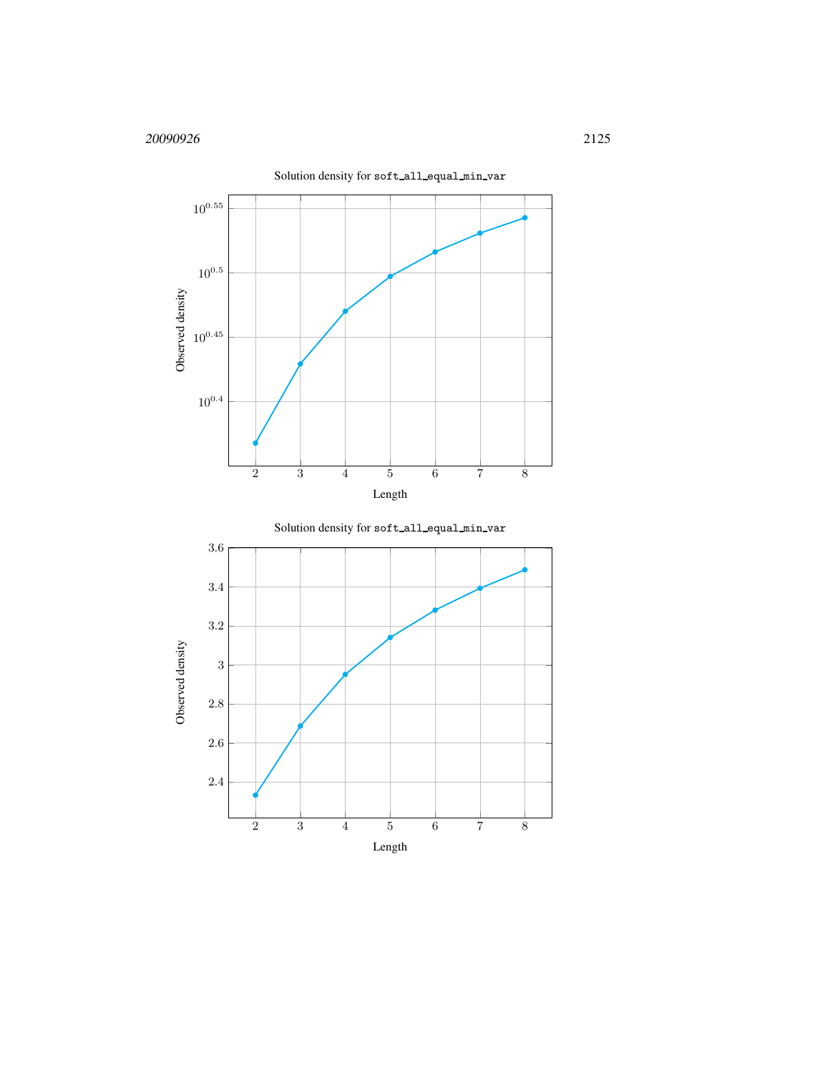



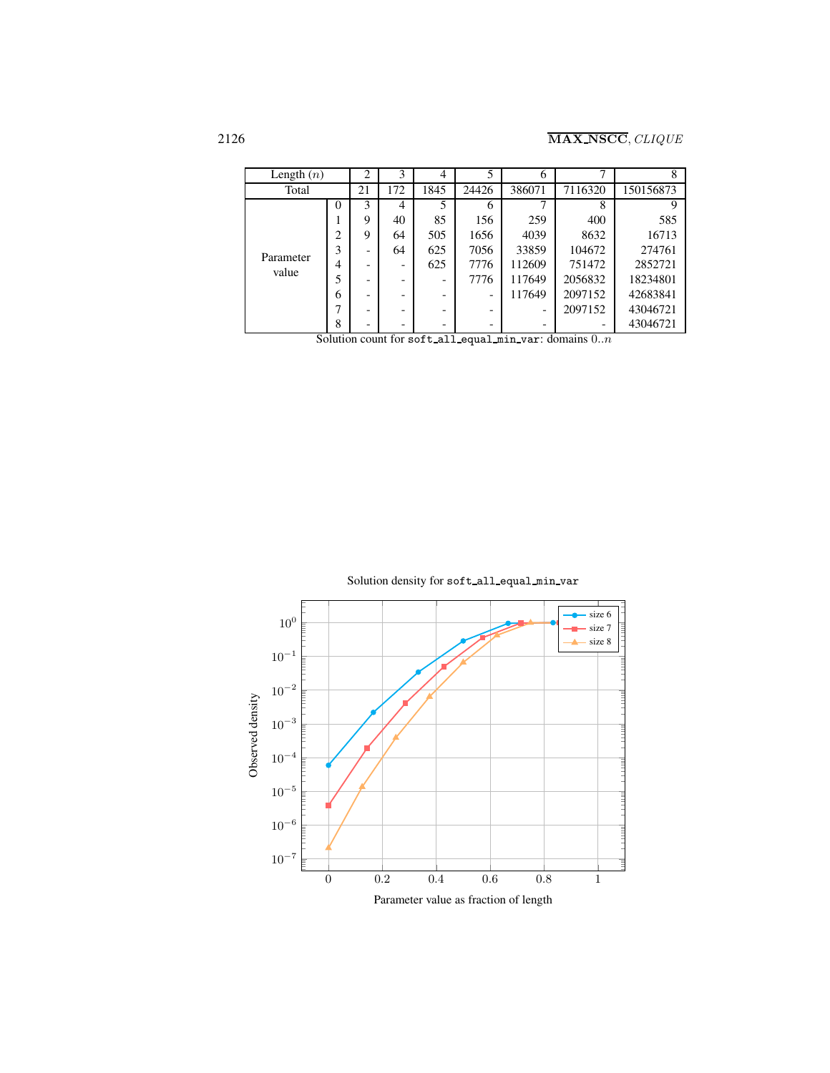| Length $(n)$       |                                    | 2  | 3                  | 4    |       | 6      |         | 8         |
|--------------------|------------------------------------|----|--------------------|------|-------|--------|---------|-----------|
| Total              |                                    | 21 | 172                | 1845 | 24426 | 386071 | 7116320 | 150156873 |
| Parameter<br>value | $\theta$                           | 3  | 4                  | 5    | 6     |        | 8       |           |
|                    |                                    | 9  | 40                 | 85   | 156   | 259    | 400     | 585       |
|                    | ◠                                  | 9  | 64                 | 505  | 1656  | 4039   | 8632    | 16713     |
|                    | 3                                  |    | 64                 | 625  | 7056  | 33859  | 104672  | 274761    |
|                    | 4                                  |    |                    | 625  | 7776  | 112609 | 751472  | 2852721   |
|                    |                                    |    |                    |      | 7776  | 117649 | 2056832 | 18234801  |
|                    | 6                                  |    |                    |      |       | 117649 | 2097152 | 42683841  |
|                    |                                    |    |                    |      |       |        | 2097152 | 43046721  |
|                    | 8<br>$\overline{a}$ $\overline{a}$ |    | -<br>$\sim$ $\sim$ | - -  |       | л.     | $\sim$  | 43046721  |

Solution count for soft all equal min var: domains  $0..n$ 

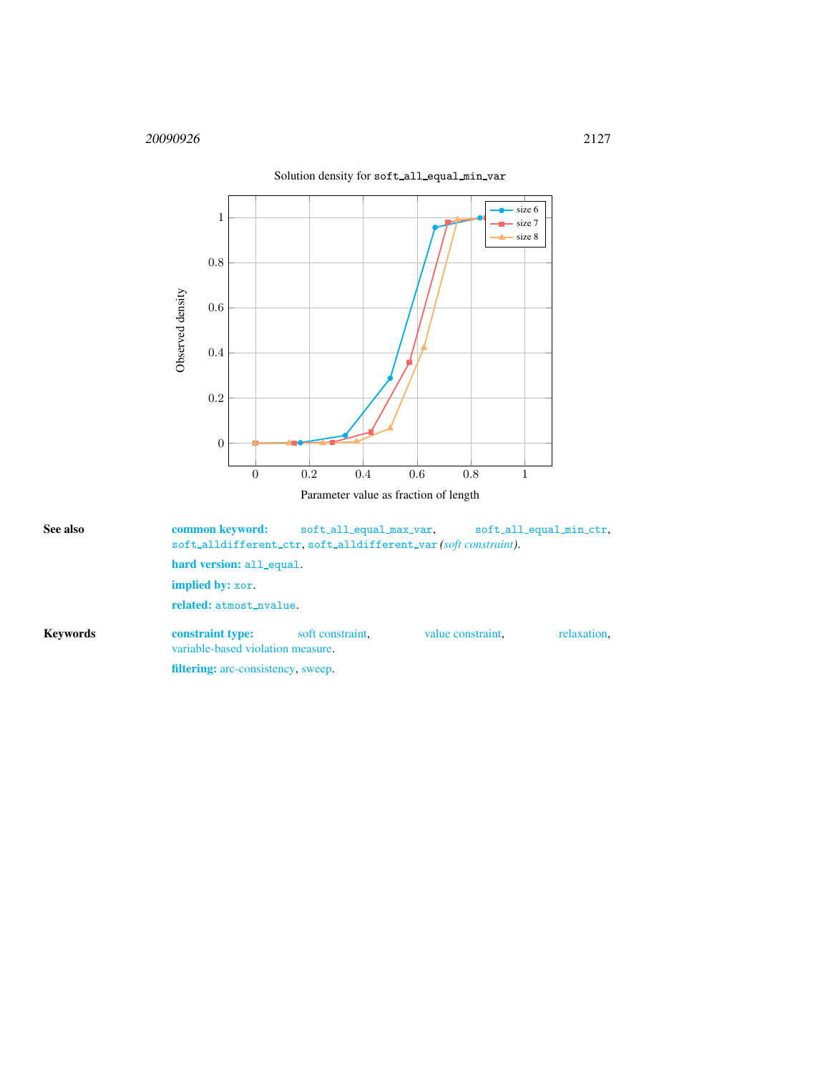

<span id="page-5-0"></span>

| See also        |                                                       | common keyword:<br>soft_all_equal_max_var,<br>soft_all_equal_min_ctr,<br>soft_alldifferent_ctr.soft_alldifferent_var(soft constraint). |                   |             |  |  |  |  |  |
|-----------------|-------------------------------------------------------|----------------------------------------------------------------------------------------------------------------------------------------|-------------------|-------------|--|--|--|--|--|
|                 |                                                       | hard version: all_equal.                                                                                                               |                   |             |  |  |  |  |  |
|                 | <b>implied by:</b> xor.                               |                                                                                                                                        |                   |             |  |  |  |  |  |
|                 | related: atmost_nvalue.                               |                                                                                                                                        |                   |             |  |  |  |  |  |
| <b>Keywords</b> | constraint type:<br>variable-based violation measure. | soft constraint.                                                                                                                       | value constraint. | relaxation. |  |  |  |  |  |
|                 | <b>filtering:</b> arc-consistency, sweep.             |                                                                                                                                        |                   |             |  |  |  |  |  |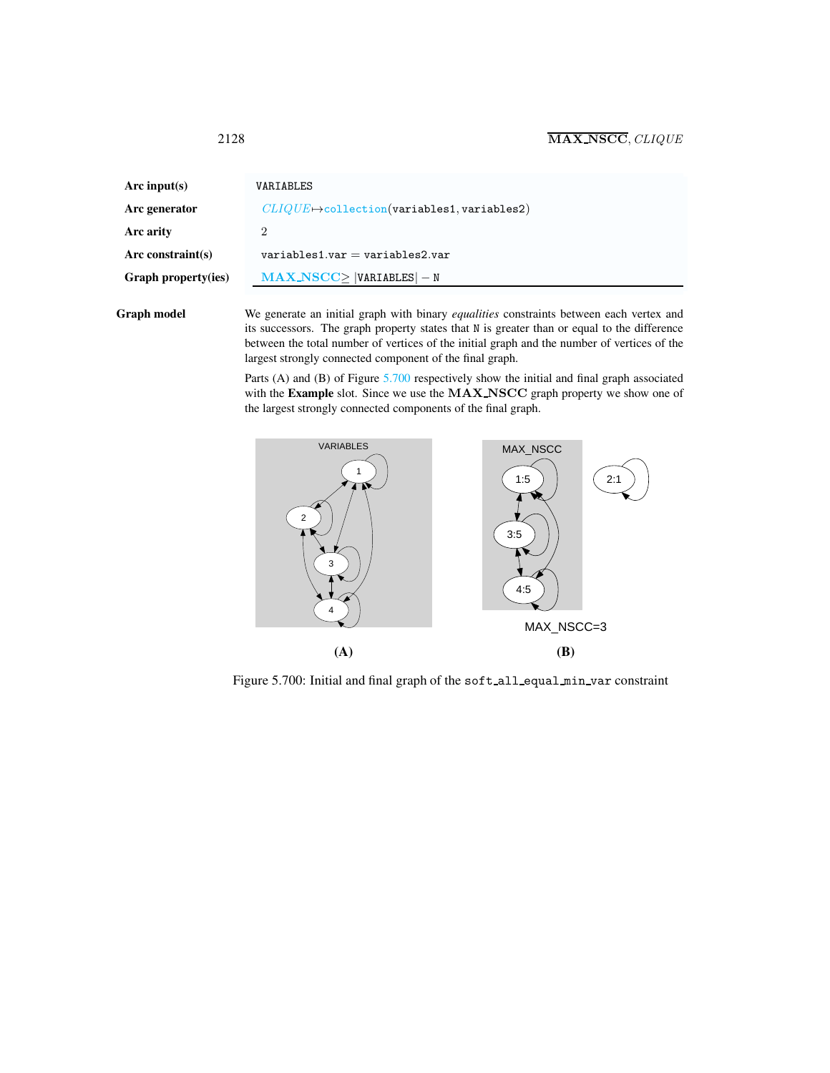<span id="page-6-0"></span>

| Arc input(s)               | VARIABLES                                           |
|----------------------------|-----------------------------------------------------|
| Arc generator              | $CLIQUE \mapsto$ collection(variables1, variables2) |
| Arc arity                  | 2                                                   |
| Arc constraint(s)          | $variable$ s1.var = variables2.var                  |
| <b>Graph property(ies)</b> | $MAX\_NSCC$   VARIABLES $ -N $                      |
|                            |                                                     |

Graph model We generate an initial graph with binary *equalities* constraints between each vertex and its successors. The graph property states that N is greater than or equal to the difference between the total number of vertices of the initial graph and the number of vertices of the largest strongly connected component of the final graph.

> Parts (A) and (B) of Figure [5.700](#page-6-1) respectively show the initial and final graph associated with the Example slot. Since we use the MAX NSCC graph property we show one of the largest strongly connected components of the final graph.



<span id="page-6-1"></span>Figure 5.700: Initial and final graph of the soft\_all\_equal\_min\_var constraint